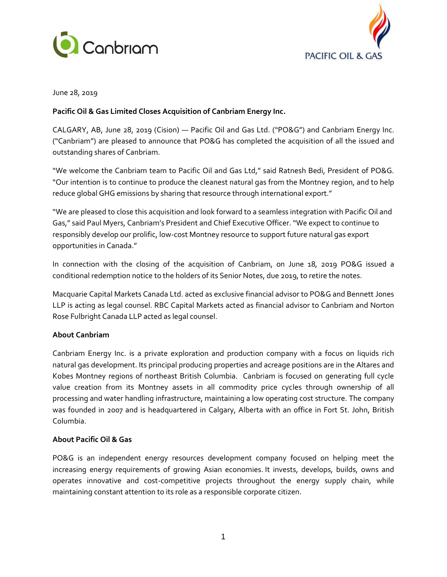



June 28, 2019

## **Pacific Oil & Gas Limited Closes Acquisition of Canbriam Energy Inc.**

CALGARY, AB, June 28, 2019 (Cision) — Pacific Oil and Gas Ltd. ("PO&G") and Canbriam Energy Inc. ("Canbriam") are pleased to announce that PO&G has completed the acquisition of all the issued and outstanding shares of Canbriam.

"We welcome the Canbriam team to Pacific Oil and Gas Ltd," said Ratnesh Bedi, President of PO&G. "Our intention is to continue to produce the cleanest natural gas from the Montney region, and to help reduce global GHG emissions by sharing that resource through international export."

"We are pleased to close this acquisition and look forward to a seamless integration with Pacific Oil and Gas," said Paul Myers, Canbriam's President and Chief Executive Officer. "We expect to continue to responsibly develop our prolific, low-cost Montney resource to support future natural gas export opportunities in Canada."

In connection with the closing of the acquisition of Canbriam, on June 18, 2019 PO&G issued a conditional redemption notice to the holders of its Senior Notes, due 2019, to retire the notes.

Macquarie Capital Markets Canada Ltd. acted as exclusive financial advisor to PO&G and Bennett Jones LLP is acting as legal counsel. RBC Capital Markets acted as financial advisor to Canbriam and Norton Rose Fulbright Canada LLP acted as legal counsel.

# **About Canbriam**

Canbriam Energy Inc. is a private exploration and production company with a focus on liquids rich natural gas development. Its principal producing properties and acreage positions are in the Altares and Kobes Montney regions of northeast British Columbia. Canbriam is focused on generating full cycle value creation from its Montney assets in all commodity price cycles through ownership of all processing and water handling infrastructure, maintaining a low operating cost structure. The company was founded in 2007 and is headquartered in Calgary, Alberta with an office in Fort St. John, British Columbia.

#### **About Pacific Oil & Gas**

PO&G is an independent energy resources development company focused on helping meet the increasing energy requirements of growing Asian economies. It invests, develops, builds, owns and operates innovative and cost-competitive projects throughout the energy supply chain, while maintaining constant attention to its role as a responsible corporate citizen.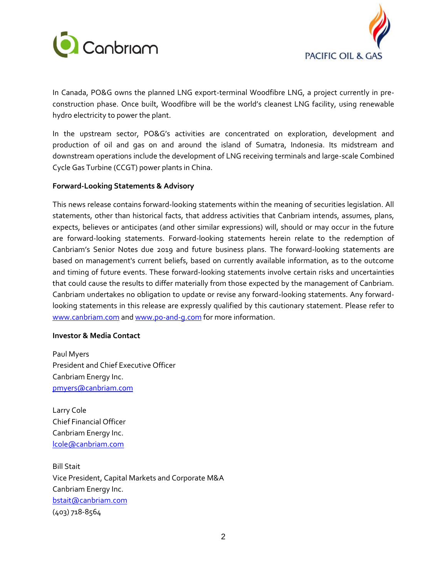



In Canada, PO&G owns the planned LNG export-terminal Woodfibre LNG, a project currently in preconstruction phase. Once built, Woodfibre will be the world's cleanest LNG facility, using renewable hydro electricity to power the plant.

In the upstream sector, PO&G's activities are concentrated on exploration, development and production of oil and gas on and around the island of Sumatra, Indonesia. Its midstream and downstream operations include the development of LNG receiving terminals and large-scale Combined Cycle Gas Turbine (CCGT) power plants in China.

### **Forward-Looking Statements & Advisory**

This news release contains forward-looking statements within the meaning of securities legislation. All statements, other than historical facts, that address activities that Canbriam intends, assumes, plans, expects, believes or anticipates (and other similar expressions) will, should or may occur in the future are forward-looking statements. Forward-looking statements herein relate to the redemption of Canbriam's Senior Notes due 2019 and future business plans. The forward-looking statements are based on management's current beliefs, based on currently available information, as to the outcome and timing of future events. These forward-looking statements involve certain risks and uncertainties that could cause the results to differ materially from those expected by the management of Canbriam. Canbriam undertakes no obligation to update or revise any forward-looking statements. Any forwardlooking statements in this release are expressly qualified by this cautionary statement. Please refer to [www.canbriam.com](http://www.canbriam.com/) an[d www.po-and-g.com](http://www.po-and-g.com/) for more information.

#### **Investor & Media Contact**

Paul Myers President and Chief Executive Officer Canbriam Energy Inc. [pmyers@canbriam.com](mailto:pmyers@canbriam.com)

Larry Cole Chief Financial Officer Canbriam Energy Inc. [lcole@canbriam.com](mailto:lcole@canbriam.com)

Bill Stait Vice President, Capital Markets and Corporate M&A Canbriam Energy Inc. [bstait@canbriam.com](mailto:bstait@canbriam.com) (403) 718-8564